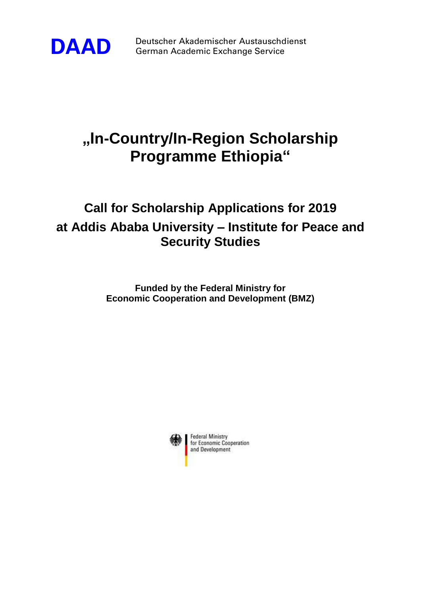

**DAAD** Deutscher Akademischer Austauschdienst German Academic Exchange Service

## **"In-Country/In-Region Scholarship Programme Ethiopia"**

## **Call for Scholarship Applications for 2019 at Addis Ababa University – Institute for Peace and Security Studies**

**Funded by the Federal Ministry for Economic Cooperation and Development (BMZ)**

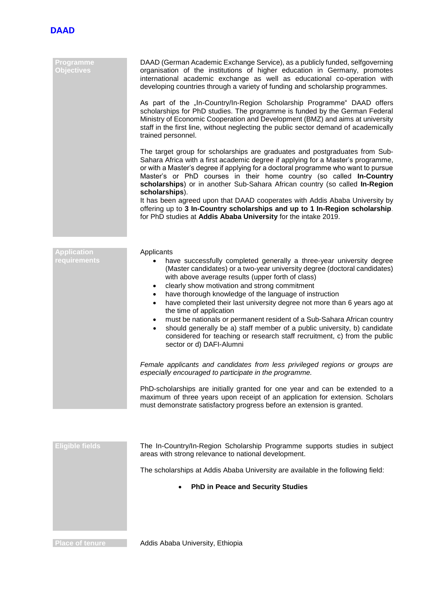

| Programme<br><b>Objectives</b>            | DAAD (German Academic Exchange Service), as a publicly funded, selfgoverning<br>organisation of the institutions of higher education in Germany, promotes<br>international academic exchange as well as educational co-operation with<br>developing countries through a variety of funding and scholarship programmes.<br>As part of the "In-Country/In-Region Scholarship Programme" DAAD offers<br>scholarships for PhD studies. The programme is funded by the German Federal<br>Ministry of Economic Cooperation and Development (BMZ) and aims at university<br>staff in the first line, without neglecting the public sector demand of academically<br>trained personnel.<br>The target group for scholarships are graduates and postgraduates from Sub-<br>Sahara Africa with a first academic degree if applying for a Master's programme,<br>or with a Master's degree if applying for a doctoral programme who want to pursue<br>Master's or PhD courses in their home country (so called In-Country<br>scholarships) or in another Sub-Sahara African country (so called In-Region<br>scholarships).<br>It has been agreed upon that DAAD cooperates with Addis Ababa University by<br>offering up to 3 In-Country scholarships and up to 1 In-Region scholarship.<br>for PhD studies at Addis Ababa University for the intake 2019. |
|-------------------------------------------|-------------------------------------------------------------------------------------------------------------------------------------------------------------------------------------------------------------------------------------------------------------------------------------------------------------------------------------------------------------------------------------------------------------------------------------------------------------------------------------------------------------------------------------------------------------------------------------------------------------------------------------------------------------------------------------------------------------------------------------------------------------------------------------------------------------------------------------------------------------------------------------------------------------------------------------------------------------------------------------------------------------------------------------------------------------------------------------------------------------------------------------------------------------------------------------------------------------------------------------------------------------------------------------------------------------------------------------------------|
| <b>Application</b><br><b>requirements</b> | Applicants<br>have successfully completed generally a three-year university degree<br>(Master candidates) or a two-year university degree (doctoral candidates)<br>with above average results (upper forth of class)<br>clearly show motivation and strong commitment<br>٠<br>have thorough knowledge of the language of instruction<br>$\bullet$<br>have completed their last university degree not more than 6 years ago at<br>$\bullet$<br>the time of application<br>must be nationals or permanent resident of a Sub-Sahara African country<br>٠<br>should generally be a) staff member of a public university, b) candidate<br>$\bullet$<br>considered for teaching or research staff recruitment, c) from the public<br>sector or d) DAFI-Alumni<br>Female applicants and candidates from less privileged regions or groups are<br>especially encouraged to participate in the programme.<br>PhD-scholarships are initially granted for one year and can be extended to a<br>maximum of three years upon receipt of an application for extension. Scholars<br>must demonstrate satisfactory progress before an extension is granted.                                                                                                                                                                                                     |
| <b>Eligible fields</b>                    | The In-Country/In-Region Scholarship Programme supports studies in subject<br>areas with strong relevance to national development.<br>The scholarships at Addis Ababa University are available in the following field:                                                                                                                                                                                                                                                                                                                                                                                                                                                                                                                                                                                                                                                                                                                                                                                                                                                                                                                                                                                                                                                                                                                          |

• **PhD in Peace and Security Studies**

**Place of tenure Addis Ababa University, Ethiopia**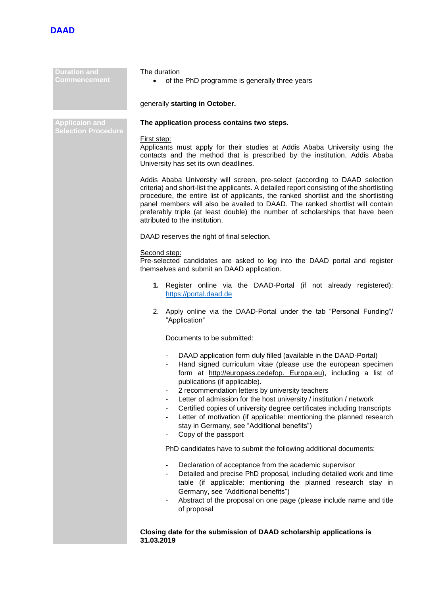

| <b>Duration and</b><br><b>Commencement</b>          | The duration<br>of the PhD programme is generally three years                                                                                                                                                                                                                                                                                                                                                                                                                                                                                                                                |  |  |  |
|-----------------------------------------------------|----------------------------------------------------------------------------------------------------------------------------------------------------------------------------------------------------------------------------------------------------------------------------------------------------------------------------------------------------------------------------------------------------------------------------------------------------------------------------------------------------------------------------------------------------------------------------------------------|--|--|--|
|                                                     | generally starting in October.                                                                                                                                                                                                                                                                                                                                                                                                                                                                                                                                                               |  |  |  |
| <b>Applicaion and</b><br><b>Selection Procedure</b> | The application process contains two steps.                                                                                                                                                                                                                                                                                                                                                                                                                                                                                                                                                  |  |  |  |
|                                                     | First step:<br>Applicants must apply for their studies at Addis Ababa University using the<br>contacts and the method that is prescribed by the institution. Addis Ababa<br>University has set its own deadlines.                                                                                                                                                                                                                                                                                                                                                                            |  |  |  |
|                                                     | Addis Ababa University will screen, pre-select (according to DAAD selection<br>criteria) and short-list the applicants. A detailed report consisting of the shortlisting<br>procedure, the entire list of applicants, the ranked shortlist and the shortlisting<br>panel members will also be availed to DAAD. The ranked shortlist will contain<br>preferably triple (at least double) the number of scholarships that have been<br>attributed to the institution.                                                                                                                          |  |  |  |
|                                                     | DAAD reserves the right of final selection.                                                                                                                                                                                                                                                                                                                                                                                                                                                                                                                                                  |  |  |  |
|                                                     | Second step:<br>Pre-selected candidates are asked to log into the DAAD portal and register<br>themselves and submit an DAAD application.                                                                                                                                                                                                                                                                                                                                                                                                                                                     |  |  |  |
|                                                     | 1. Register online via the DAAD-Portal (if not already registered):<br>https://portal.daad.de                                                                                                                                                                                                                                                                                                                                                                                                                                                                                                |  |  |  |
|                                                     | 2. Apply online via the DAAD-Portal under the tab "Personal Funding"/<br>"Application"<br>Documents to be submitted:                                                                                                                                                                                                                                                                                                                                                                                                                                                                         |  |  |  |
|                                                     |                                                                                                                                                                                                                                                                                                                                                                                                                                                                                                                                                                                              |  |  |  |
|                                                     | DAAD application form duly filled (available in the DAAD-Portal)<br>Hand signed curriculum vitae (please use the european specimen<br>form at http://europass.cedefop. Europa.eu), including a list of<br>publications (if applicable).<br>2 recommendation letters by university teachers<br>Letter of admission for the host university / institution / network<br>Certified copies of university degree certificates including transcripts<br>Letter of motivation (if applicable: mentioning the planned research<br>stay in Germany, see "Additional benefits")<br>Copy of the passport |  |  |  |
|                                                     | PhD candidates have to submit the following additional documents:                                                                                                                                                                                                                                                                                                                                                                                                                                                                                                                            |  |  |  |
|                                                     | Declaration of acceptance from the academic supervisor<br>$\qquad \qquad \blacksquare$<br>Detailed and precise PhD proposal, including detailed work and time<br>table (if applicable: mentioning the planned research stay in<br>Germany, see "Additional benefits")<br>Abstract of the proposal on one page (please include name and title<br>of proposal                                                                                                                                                                                                                                  |  |  |  |
|                                                     | Closing date for the submission of DAAD scholarship applications is                                                                                                                                                                                                                                                                                                                                                                                                                                                                                                                          |  |  |  |

**31.03.2019**